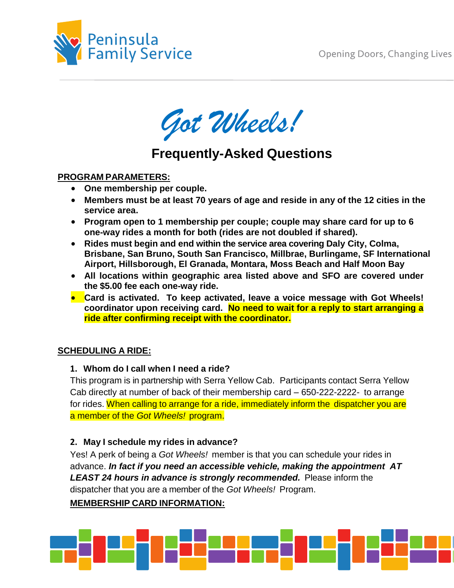



# **Frequently-Asked Questions**

#### **PROGRAM PARAMETERS:**

- **One membership per couple.**
- **Members must be at least 70 years of age and reside in any of the 12 cities in the service area.**
- **Program open to 1 membership per couple; couple may share card for up to 6 one-way rides a month for both (rides are not doubled if shared).**
- **Rides must begin and end within the service area covering Daly City, Colma, Brisbane, San Bruno, South San Francisco, Millbrae, Burlingame, SF International Airport, Hillsborough, El Granada, Montara, Moss Beach and Half Moon Bay**
- **All locations within geographic area listed above and SFO are covered under the \$5.00 fee each one-way ride.**
- **Card is activated. To keep activated, leave a voice message with Got Wheels! coordinator upon receiving card. No need to wait for a reply to start arranging a ride after confirming receipt with the coordinator.**

#### **SCHEDULING A RIDE:**

#### **1. Whom do I call when I need a ride?**

This program is in partnership with Serra Yellow Cab. Participants contact Serra Yellow Cab directly at number of back of their membership card – 650-222-2222- to arrange for rides. When calling to arrange for a ride, immediately inform the dispatcher you are a member of the *Got Wheels!* program.

#### **2. May I schedule my rides in advance?**

Yes! A perk of being a *Got Wheels!* member is that you can schedule your rides in advance. *In fact if you need an accessible vehicle, making the appointment AT LEAST 24 hours in advance is strongly recommended.* Please inform the dispatcher that you are a member of the *Got Wheels!* Program.

**MEMBERSHIP CARD INFORMATION:**

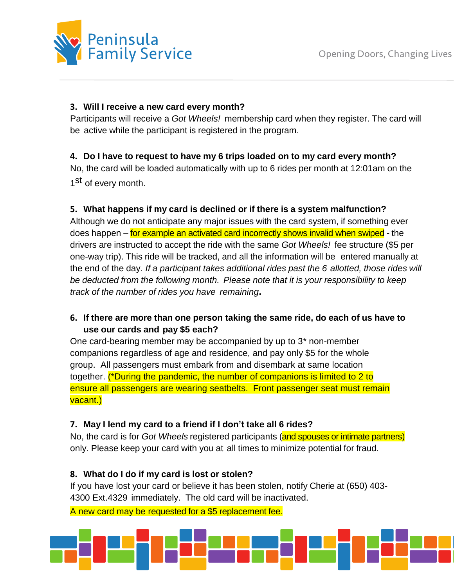

#### **3. Will I receive a new card every month?**

Participants will receive a *Got Wheels!* membership card when they register. The card will be active while the participant is registered in the program.

## **4. Do I have to request to have my 6 trips loaded on to my card every month?**

No, the card will be loaded automatically with up to 6 rides per month at 12:01am on the 1<sup>st</sup> of every month.

### **5. What happens if my card is declined or if there is a system malfunction?**

Although we do not anticipate any major issues with the card system, if something ever does happen – for example an activated card incorrectly shows invalid when swiped - the drivers are instructed to accept the ride with the same *Got Wheels!* fee structure (\$5 per one-way trip). This ride will be tracked, and all the information will be entered manually at the end of the day. *If a participant takes additional rides past the 6 allotted, those rides will be deducted from the following month. Please note that it is your responsibility to keep track of the number of rides you have remaining.* 

## **6. If there are more than one person taking the same ride, do each of us have to use our cards and pay \$5 each?**

One card-bearing member may be accompanied by up to 3\* non-member companions regardless of age and residence, and pay only \$5 for the whole group. All passengers must embark from and disembark at same location together. (\*During the pandemic, the number of companions is limited to 2 to ensure all passengers are wearing seatbelts. Front passenger seat must remain vacant.)

#### **7. May I lend my card to a friend if I don't take all 6 rides?**

No, the card is for *Got Wheels* registered participants (and spouses or intimate partners) only. Please keep your card with you at all times to minimize potential for fraud.

## **8. What do I do if my card is lost or stolen?**

If you have lost your card or believe it has been stolen, notify Cherie at (650) 403- 4300 Ext.4329 immediately. The old card will be inactivated.

A new card may be requested for a \$5 replacement fee.

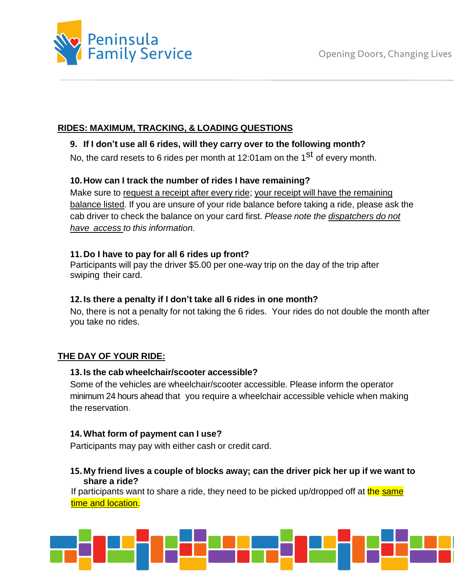

### **RIDES: MAXIMUM, TRACKING, & LOADING QUESTIONS**

#### **9. If I don't use all 6 rides, will they carry over to the following month?**

No, the card resets to 6 rides per month at 12:01am on the 1<sup>st</sup> of every month.

### **10.How can I track the number of rides I have remaining?**

Make sure to request a receipt after every ride; your receipt will have the remaining balance listed. If you are unsure of your ride balance before taking a ride, please ask the cab driver to check the balance on your card first. *Please note the dispatchers do not have access to this information.*

### **11.Do I have to pay for all 6 rides up front?**

Participants will pay the driver \$5.00 per one-way trip on the day of the trip after swiping their card.

#### **12.Is there a penalty if I don't take all 6 rides in one month?**

No, there is not a penalty for not taking the 6 rides. Your rides do not double the month after you take no rides.

#### **THE DAY OF YOUR RIDE:**

#### **13.Is the cab wheelchair/scooter accessible?**

Some of the vehicles are wheelchair/scooter accessible. Please inform the operator minimum 24 hours ahead that you require a wheelchair accessible vehicle when making the reservation.

#### **14.What form of payment can I use?**

Participants may pay with either cash or credit card.

**15.My friend lives a couple of blocks away; can the driver pick her up if we want to share a ride?**

If participants want to share a ride, they need to be picked up/dropped off at the same time and location.